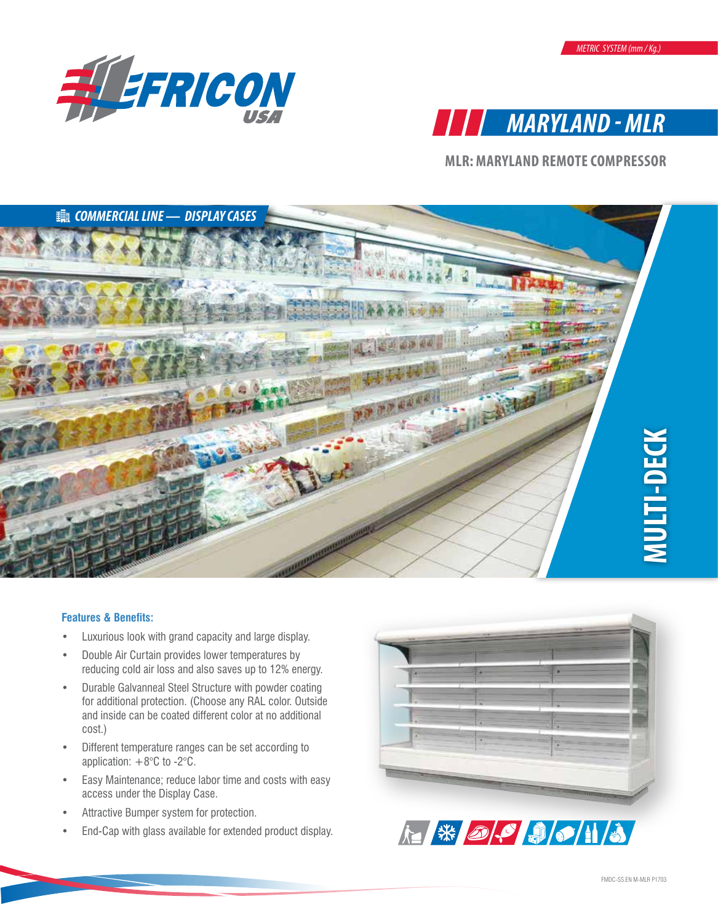



**MLR: MARYLAND REMOTE COMPRESSOR** 



## **Features & Benefits:**

- Luxurious look with grand capacity and large display.
- Double Air Curtain provides lower temperatures by reducing cold air loss and also saves up to 12% energy.
- Durable Galvanneal Steel Structure with powder coating for additional protection. (Choose any RAL color. Outside and inside can be coated different color at no additional cost.)
- Different temperature ranges can be set according to application:  $+8^{\circ}$ C to -2 $^{\circ}$ C.
- Easy Maintenance; reduce labor time and costs with easy access under the Display Case.
- Attractive Bumper system for protection.
- End-Cap with glass available for extended product display.



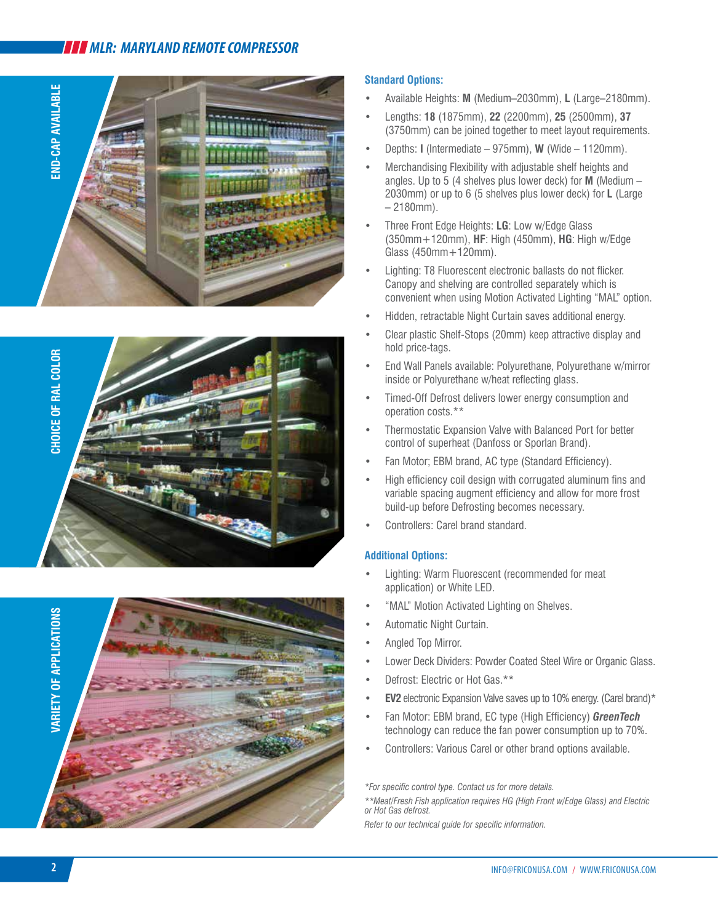# *MLR: MARYLAND REMOTE COMPRESSOR*







## **Standard Options:**

- Available Heights: **M** (Medium–2030mm), **L** (Large–2180mm).
- Lengths: **18** (1875mm), **22** (2200mm), **25** (2500mm), **37** (3750mm) can be joined together to meet layout requirements.
- Depths: **I** (Intermediate 975mm), **W** (Wide 1120mm).
- Merchandising Flexibility with adjustable shelf heights and angles. Up to 5 (4 shelves plus lower deck) for **M** (Medium – 2030mm) or up to 6 (5 shelves plus lower deck) for **L** (Large  $-2180$ mm).
- Three Front Edge Heights: **LG**: Low w/Edge Glass (350mm+120mm), **HF**: High (450mm), **HG**: High w/Edge Glass (450mm+120mm).
- Lighting: T8 Fluorescent electronic ballasts do not flicker. Canopy and shelving are controlled separately which is convenient when using Motion Activated Lighting "MAL" option.
- Hidden, retractable Night Curtain saves additional energy.
- Clear plastic Shelf-Stops (20mm) keep attractive display and hold price-tags.
- End Wall Panels available: Polyurethane, Polyurethane w/mirror inside or Polyurethane w/heat reflecting glass.
- Timed-Off Defrost delivers lower energy consumption and operation costs.\*\*
- Thermostatic Expansion Valve with Balanced Port for better control of superheat (Danfoss or Sporlan Brand).
- Fan Motor; EBM brand, AC type (Standard Efficiency).
- High efficiency coil design with corrugated aluminum fins and variable spacing augment efficiency and allow for more frost build-up before Defrosting becomes necessary.
- Controllers: Carel brand standard.

## **Additional Options:**

- Lighting: Warm Fluorescent (recommended for meat application) or White LED.
- "MAL" Motion Activated Lighting on Shelves.
- Automatic Night Curtain.
- Angled Top Mirror.
- Lower Deck Dividers: Powder Coated Steel Wire or Organic Glass.
- Defrost: Electric or Hot Gas.\*\*
- **• EV2** electronic Expansion Valve saves up to 10% energy. (Carel brand)\*
- Fan Motor: EBM brand, EC type (High Efficiency) *GreenTech* technology can reduce the fan power consumption up to 70%.
- Controllers: Various Carel or other brand options available.

*\*For specific control type. Contact us for more details.* 

*\*\*Meat/Fresh Fish application requires HG (High Front w/Edge Glass) and Electric or Hot Gas defrost.*

*Refer to our technical guide for specific information.*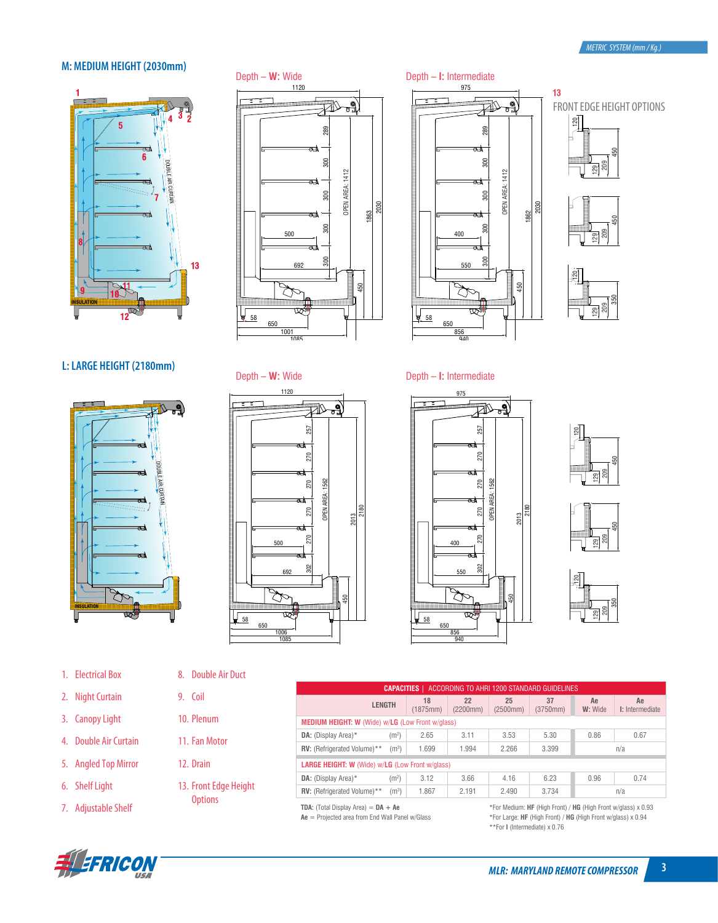## **M: MEDIUM HEIGHT (2030mm)**



## Depth – **W:** Wide

1120



## **L: LARGE HEIGHT (2180mm)**



### 1. Electrical Box

- 2. Night Curtain
- 3. Canopy Light
- 4. Double Air Curtain
- 5. Angled Top Mirror
- 6. Shelf Light
- 7. Adjustable Shelf





Depth – **W:** Wide



#### 975 Depth – **I:** Intermediate



 $13$ FRONT EDGE HEIGHT OPTIONS  $\frac{20}{2}$ 







Depth – **I:** Intermediate





209 129



| 8. | <b>Double Air Duct</b> |  |
|----|------------------------|--|
|    |                        |  |

- 9. Coil
- 10. Plenum
- 11. Fan Motor
- 12. Drain
- 13. Front Edge Height **Options**

| ACCORDING TO AHRI 1200 STANDARD GUIDELINES<br><b>CAPACITIES</b> |                   |                |                |                |                |               |                       |  |  |  |  |
|-----------------------------------------------------------------|-------------------|----------------|----------------|----------------|----------------|---------------|-----------------------|--|--|--|--|
| <b>LENGTH</b>                                                   |                   | 18<br>(1875mm) | 22<br>(2200mm) | 25<br>(2500mm) | 37<br>(3750mm) | Ae<br>W: Wide | Ae<br>I: Intermediate |  |  |  |  |
| <b>MEDIUM HEIGHT: W (Wide) w/LG (Low Front w/glass)</b>         |                   |                |                |                |                |               |                       |  |  |  |  |
| <b>DA:</b> (Display Area)*                                      | (m <sup>2</sup> ) | 2.65           | 3.11           | 3.53           | 5.30           | 0.86          | 0.67                  |  |  |  |  |
| RV: (Refrigerated Volume)**                                     | (m <sup>3</sup> ) | 1.699          | 1.994          | 2.266          | 3.399          |               | n/a                   |  |  |  |  |
| <b>LARGE HEIGHT: W</b> (Wide) w/LG (Low Front w/glass)          |                   |                |                |                |                |               |                       |  |  |  |  |
| <b>DA:</b> (Display Area) $*$                                   | (m <sup>2</sup> ) | 3.12           | 3.66           | 4.16           | 6.23           | 0.96          | 0.74                  |  |  |  |  |
| RV: (Refrigerated Volume)**                                     | (m <sup>3</sup> ) | 1.867          | 2.191          | 2.490          | 3.734          |               | n/a                   |  |  |  |  |

**TDA:** (Total Display Area) = **DA + Ae**

**Ae** = Projected area from End Wall Panel w/Glass

\*For Medium: **HF** (High Front) / **HG** (High Front w/glass) x 0.93 \*For Large: **HF** (High Front) / **HG** (High Front w/glass) x 0.94 \*\*For **I** (Intermediate) x 0.76